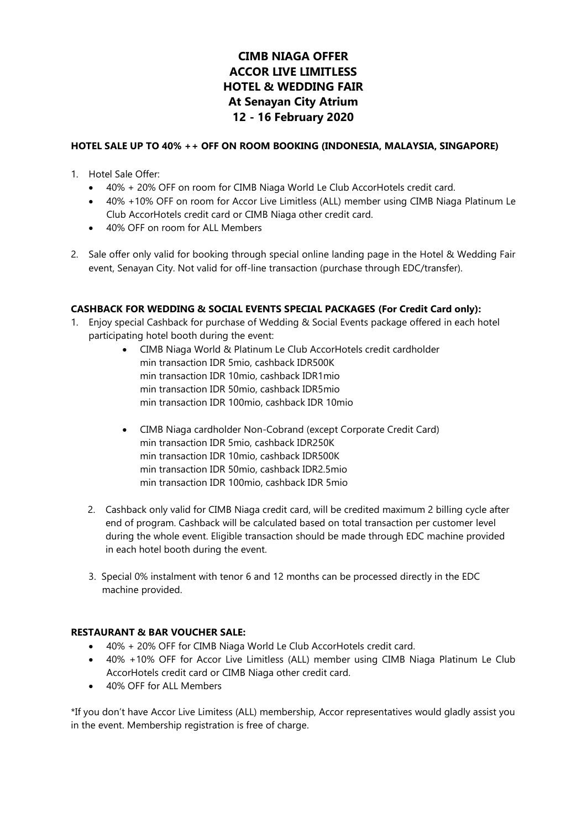# **CIMB NIAGA OFFER ACCOR LIVE LIMITLESS HOTEL & WEDDING FAIR At Senayan City Atrium 12 - 16 February 2020**

#### **HOTEL SALE UP TO 40% ++ OFF ON ROOM BOOKING (INDONESIA, MALAYSIA, SINGAPORE)**

- 1. Hotel Sale Offer:
	- 40% + 20% OFF on room for CIMB Niaga World Le Club AccorHotels credit card.
	- 40% +10% OFF on room for Accor Live Limitless (ALL) member using CIMB Niaga Platinum Le Club AccorHotels credit card or CIMB Niaga other credit card.
	- 40% OFF on room for ALL Members
- 2. Sale offer only valid for booking through special online landing page in the Hotel & Wedding Fair event, Senayan City. Not valid for off-line transaction (purchase through EDC/transfer).

## **CASHBACK FOR WEDDING & SOCIAL EVENTS SPECIAL PACKAGES (For Credit Card only):**

- 1. Enjoy special Cashback for purchase of Wedding & Social Events package offered in each hotel participating hotel booth during the event:
	- CIMB Niaga World & Platinum Le Club AccorHotels credit cardholder min transaction IDR 5mio, cashback IDR500K min transaction IDR 10mio, cashback IDR1mio min transaction IDR 50mio, cashback IDR5mio min transaction IDR 100mio, cashback IDR 10mio
	- CIMB Niaga cardholder Non-Cobrand (except Corporate Credit Card) min transaction IDR 5mio, cashback IDR250K min transaction IDR 10mio, cashback IDR500K min transaction IDR 50mio, cashback IDR2.5mio min transaction IDR 100mio, cashback IDR 5mio
	- 2. Cashback only valid for CIMB Niaga credit card, will be credited maximum 2 billing cycle after end of program. Cashback will be calculated based on total transaction per customer level during the whole event. Eligible transaction should be made through EDC machine provided in each hotel booth during the event.
	- 3. Special 0% instalment with tenor 6 and 12 months can be processed directly in the EDC machine provided.

## **RESTAURANT & BAR VOUCHER SALE:**

- 40% + 20% OFF for CIMB Niaga World Le Club AccorHotels credit card.
- 40% +10% OFF for Accor Live Limitless (ALL) member using CIMB Niaga Platinum Le Club AccorHotels credit card or CIMB Niaga other credit card.
- $\bullet$  40% OFF for ALL Members

\*If you don't have Accor Live Limitess (ALL) membership, Accor representatives would gladly assist you in the event. Membership registration is free of charge.